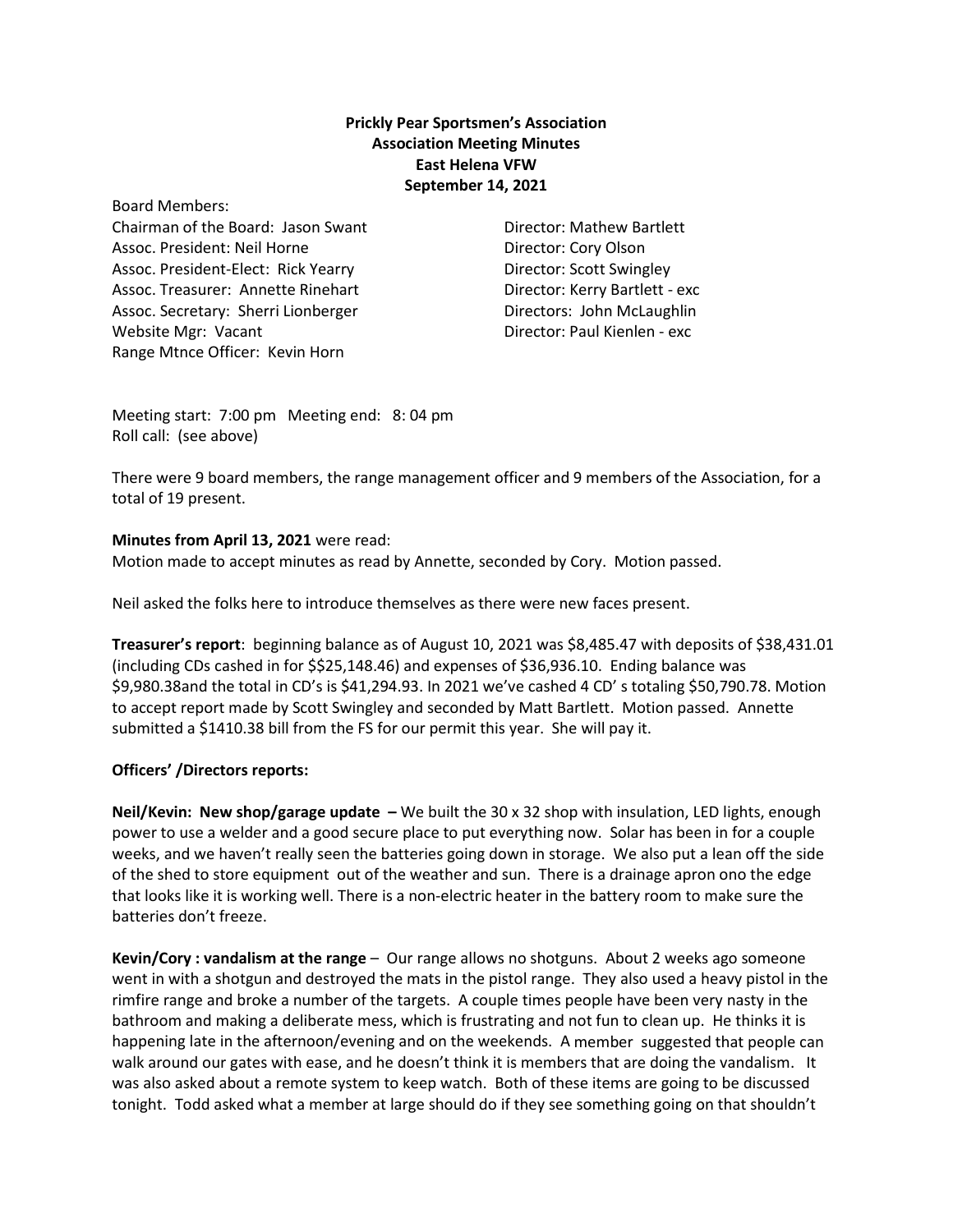## **Prickly Pear Sportsmen's Association Association Meeting Minutes East Helena VFW September 14, 2021**

Board Members: Chairman of the Board: Jason Swant Director: Mathew Bartlett Assoc. President: Neil Horne Director: Cory Olson Assoc. President-Elect: Rick Yearry **Britannic Scott Swingley** Director: Scott Swingley Assoc. Treasurer: Annette Rinehart Director: Kerry Bartlett - exc Assoc. Secretary: Sherri Lionberger **Base Contains Containers** Directors: John McLaughlin Website Mgr: Vacant Director: Paul Kienlen ‐ exc Range Mtnce Officer: Kevin Horn

Meeting start: 7:00 pm Meeting end: 8: 04 pm Roll call: (see above)

There were 9 board members, the range management officer and 9 members of the Association, for a total of 19 present.

## **Minutes from April 13, 2021** were read:

Motion made to accept minutes as read by Annette, seconded by Cory. Motion passed.

Neil asked the folks here to introduce themselves as there were new faces present.

**Treasurer's report**: beginning balance as of August 10, 2021 was \$8,485.47 with deposits of \$38,431.01 (including CDs cashed in for \$\$25,148.46) and expenses of \$36,936.10. Ending balance was \$9,980.38and the total in CD's is \$41,294.93. In 2021 we've cashed 4 CD' s totaling \$50,790.78. Motion to accept report made by Scott Swingley and seconded by Matt Bartlett. Motion passed. Annette submitted a \$1410.38 bill from the FS for our permit this year. She will pay it.

## **Officers' /Directors reports:**

**Neil/Kevin: New shop/garage update –** We built the 30 x 32 shop with insulation, LED lights, enough power to use a welder and a good secure place to put everything now. Solar has been in for a couple weeks, and we haven't really seen the batteries going down in storage. We also put a lean off the side of the shed to store equipment out of the weather and sun. There is a drainage apron ono the edge that looks like it is working well. There is a non‐electric heater in the battery room to make sure the batteries don't freeze.

**Kevin/Cory : vandalism at the range** – Our range allows no shotguns. About 2 weeks ago someone went in with a shotgun and destroyed the mats in the pistol range. They also used a heavy pistol in the rimfire range and broke a number of the targets. A couple times people have been very nasty in the bathroom and making a deliberate mess, which is frustrating and not fun to clean up. He thinks it is happening late in the afternoon/evening and on the weekends. A member suggested that people can walk around our gates with ease, and he doesn't think it is members that are doing the vandalism. It was also asked about a remote system to keep watch. Both of these items are going to be discussed tonight. Todd asked what a member at large should do if they see something going on that shouldn't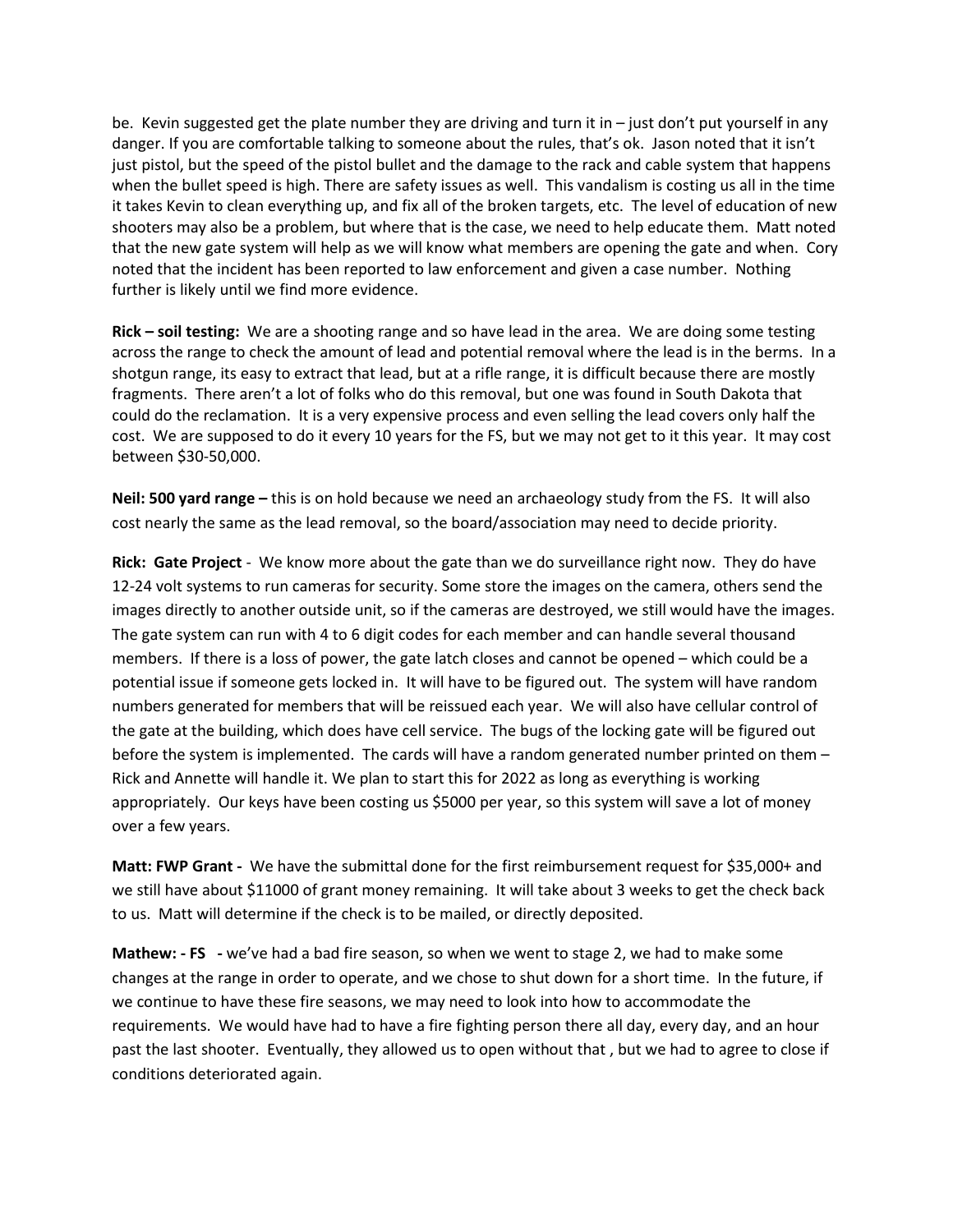be. Kevin suggested get the plate number they are driving and turn it in – just don't put yourself in any danger. If you are comfortable talking to someone about the rules, that's ok. Jason noted that it isn't just pistol, but the speed of the pistol bullet and the damage to the rack and cable system that happens when the bullet speed is high. There are safety issues as well. This vandalism is costing us all in the time it takes Kevin to clean everything up, and fix all of the broken targets, etc. The level of education of new shooters may also be a problem, but where that is the case, we need to help educate them. Matt noted that the new gate system will help as we will know what members are opening the gate and when. Cory noted that the incident has been reported to law enforcement and given a case number. Nothing further is likely until we find more evidence.

**Rick – soil testing:** We are a shooting range and so have lead in the area. We are doing some testing across the range to check the amount of lead and potential removal where the lead is in the berms. In a shotgun range, its easy to extract that lead, but at a rifle range, it is difficult because there are mostly fragments. There aren't a lot of folks who do this removal, but one was found in South Dakota that could do the reclamation. It is a very expensive process and even selling the lead covers only half the cost. We are supposed to do it every 10 years for the FS, but we may not get to it this year. It may cost between \$30‐50,000.

**Neil: 500 yard range –** this is on hold because we need an archaeology study from the FS. It will also cost nearly the same as the lead removal, so the board/association may need to decide priority.

**Rick: Gate Project** ‐ We know more about the gate than we do surveillance right now. They do have 12-24 volt systems to run cameras for security. Some store the images on the camera, others send the images directly to another outside unit, so if the cameras are destroyed, we still would have the images. The gate system can run with 4 to 6 digit codes for each member and can handle several thousand members. If there is a loss of power, the gate latch closes and cannot be opened – which could be a potential issue if someone gets locked in. It will have to be figured out. The system will have random numbers generated for members that will be reissued each year. We will also have cellular control of the gate at the building, which does have cell service. The bugs of the locking gate will be figured out before the system is implemented. The cards will have a random generated number printed on them – Rick and Annette will handle it. We plan to start this for 2022 as long as everything is working appropriately. Our keys have been costing us \$5000 per year, so this system will save a lot of money over a few years.

**Matt: FWP Grant ‐** We have the submittal done for the first reimbursement request for \$35,000+ and we still have about \$11000 of grant money remaining. It will take about 3 weeks to get the check back to us. Matt will determine if the check is to be mailed, or directly deposited.

**Mathew:** - FS - we've had a bad fire season, so when we went to stage 2, we had to make some changes at the range in order to operate, and we chose to shut down for a short time. In the future, if we continue to have these fire seasons, we may need to look into how to accommodate the requirements. We would have had to have a fire fighting person there all day, every day, and an hour past the last shooter. Eventually, they allowed us to open without that , but we had to agree to close if conditions deteriorated again.